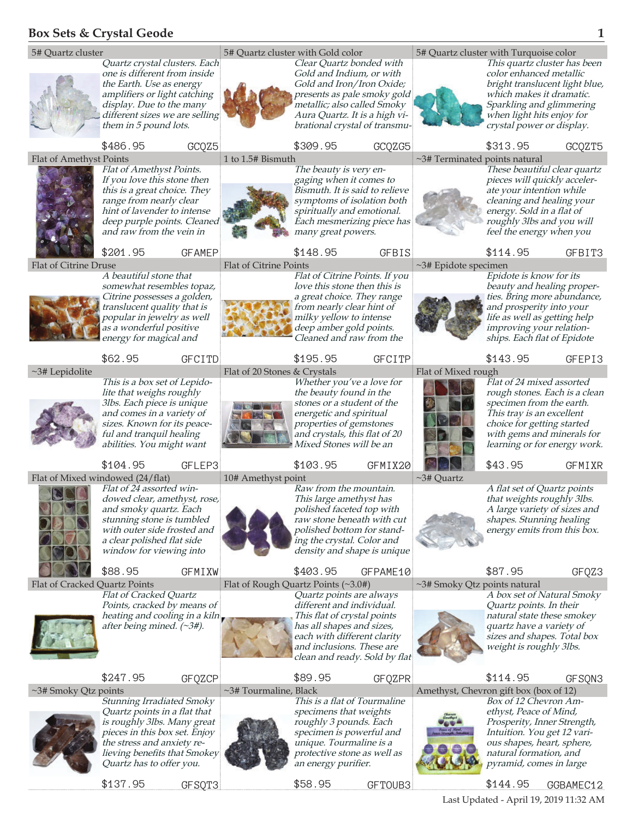## **Box Sets & Crystal Geode 1**





is roughly 3lbs. Many great pieces in this box set. Enjoy the stress and anxiety relieving benefits that Smokey Quartz has to offer you.

\$137.95 GFSQT3

an energy purifier.

specimen is powerful and unique. Tourmaline is a protective stone as well as

\$58.95 GFTOUB3

Prosperity, Inner Strength, Intuition. You get 12 various shapes, heart, sphere, natural formation, and pyramid, comes in large

\$144.95 GGBAMEC12

Last Updated - April 19, 2019 11:32 AM